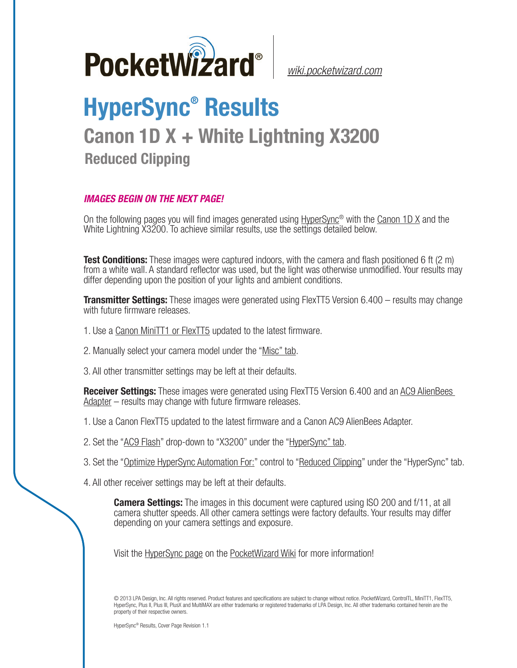

*[wiki.pocketwizard.com](http://wiki.pocketwizard.com/)*

## **HyperSync® Results Canon 1D X + White Lightning X3200 Reduced Clipping**

## *IMAGES BEGIN ON THE NEXT PAGE!*

On the following pages you will find images generated using [HyperSync](http://wiki.pocketwizard.com/index.php?title=Hypersync)® with the [Canon 1D X](http://wiki.pocketwizard.com/index.php?title=Canon_1D_X) and the White Lightning X3200. To achieve similar results, use the settings detailed below.

**Test Conditions:** These images were captured indoors, with the camera and flash positioned 6 ft (2 m) from a white wall. A standard reflector was used, but the light was otherwise unmodified. Your results may differ depending upon the position of your lights and ambient conditions.

**Transmitter Settings:** These images were generated using FlexTT5 Version 6.400 – results may change with future firmware releases.

- 1. Use a [Canon MiniTT1 or FlexTT5](http://wiki.pocketwizard.com/index.php?title=Canon_MiniTT1_and_FlexTT5) updated to the latest firmware.
- 2. Manually select your camera model under the "[Misc" tab](http://wiki.pocketwizard.com/index.php?title=Misc_Tab).
- 3. All other transmitter settings may be left at their defaults.

**Receiver Settings:** These images were generated using FlexTT5 Version 6.400 and an [AC9 AlienBees](http://wiki.pocketwizard.com/index.php?title=AC9_AlienBees_Adapter)  [Adapter](http://wiki.pocketwizard.com/index.php?title=AC9_AlienBees_Adapter) – results may change with future firmware releases.

- 1. Use a [Canon FlexTT5](http://wiki.pocketwizard.com/index.php?title=Canon_MiniTT1_and_FlexTT5) updated to the latest firmware and a Canon AC9 AlienBees Adapter.
- 2. Set the "[AC9 Flash](http://wiki.pocketwizard.com/index.php?title=HyperSync/HSS_Tab#AC9_Flash)" drop-down to "X3200" under the "[HyperSync" tab](http://wiki.pocketwizard.com/index.php?title=Hypersync_tab).
- 3. Set the "[Optimize HyperSync Automation For:](http://wiki.pocketwizard.com/index.php?title=HyperSync/HSS_Tab#Optimize_HyperSync_Automation_For:)" control to ["Reduced Clipping"](http://wiki.pocketwizard.com/index.php?title=HyperSync/HSS_Tab#Optimize_HyperSync_Automation_For:) under the "HyperSync" tab.
- 4. All other receiver settings may be left at their defaults.

**Camera Settings:** The images in this document were captured using ISO 200 and f/11, at all camera shutter speeds. All other camera settings were factory defaults. Your results may differ depending on your camera settings and exposure.

Visit the [HyperSync page](http://wiki.pocketwizard.com/index.php?title=Hypersync) on the P[ocketWizard Wiki](http://wiki.pocketwizard.com/) for more information!

© 2013 LPA Design, Inc. All rights reserved. Product features and specifications are subject to change without notice. PocketWizard, ControlTL, MiniTT1, FlexTT5, HyperSync, Plus II, Plus III, PlusX and MultiMAX are either trademarks or registered trademarks of LPA Design, Inc. All other trademarks contained herein are the property of their respective owners.

HyperSync® Results, Cover Page Revision 1.1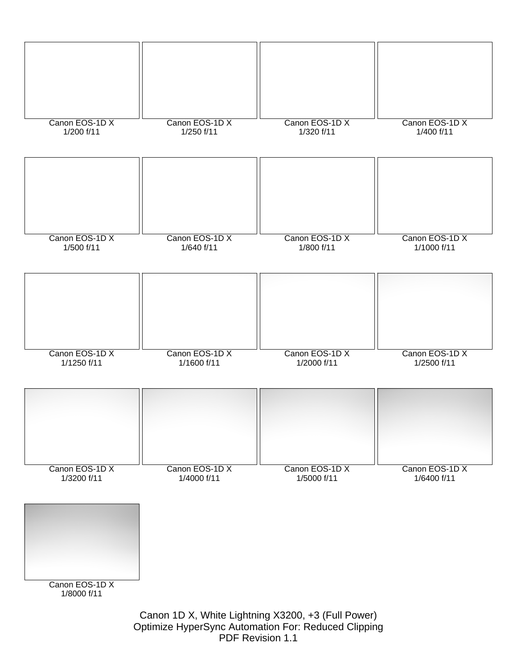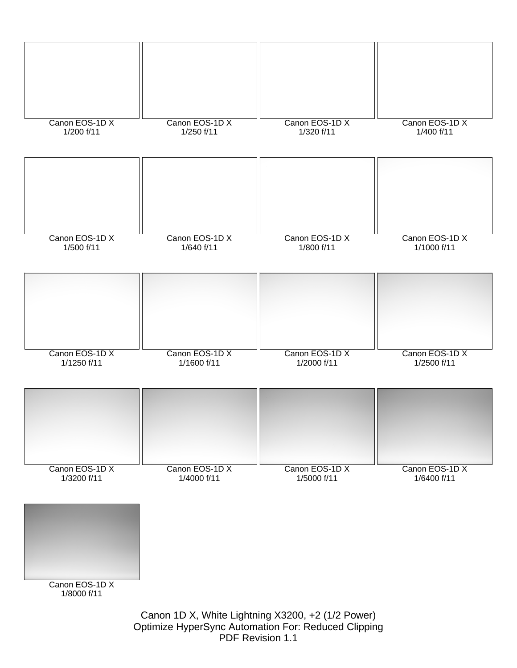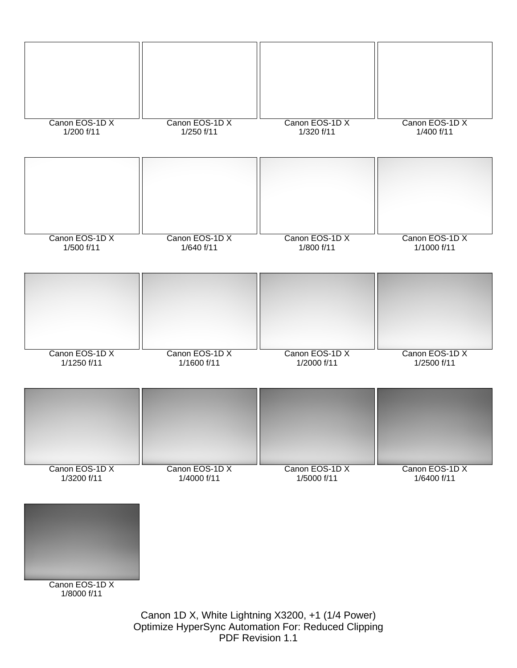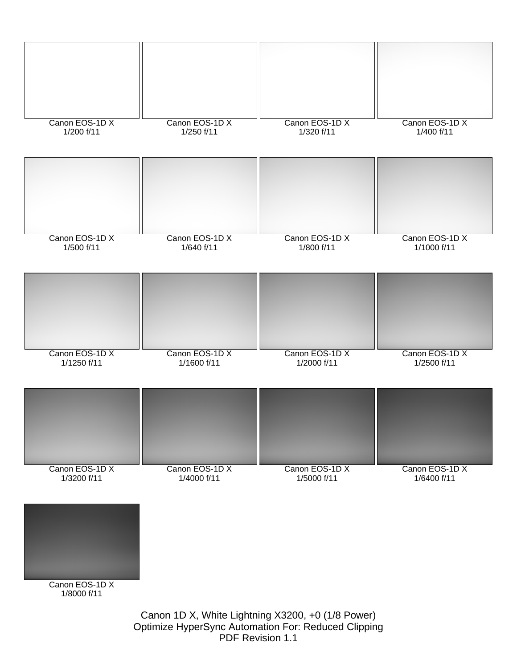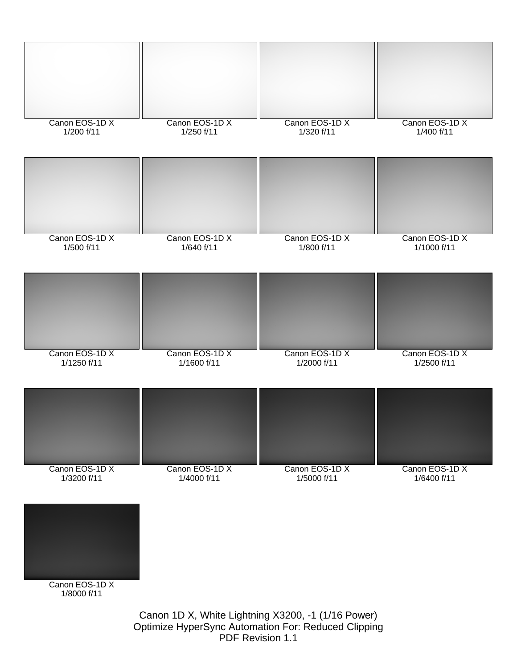

PDF Revision 1.1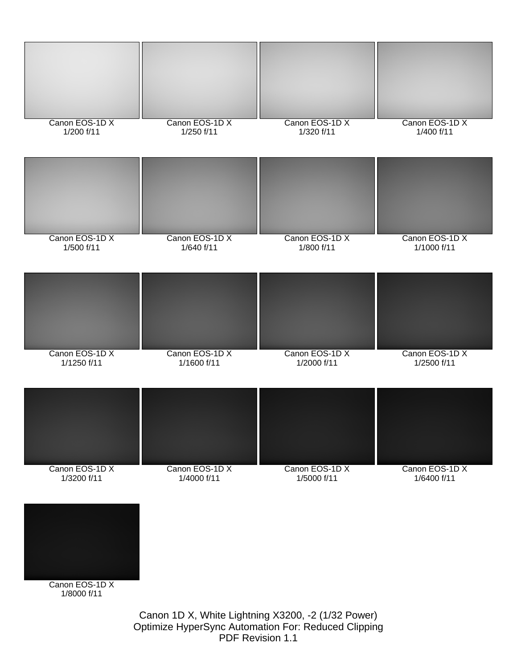

Optimize HyperSync Automation For: Reduced Clipping PDF Revision 1.1